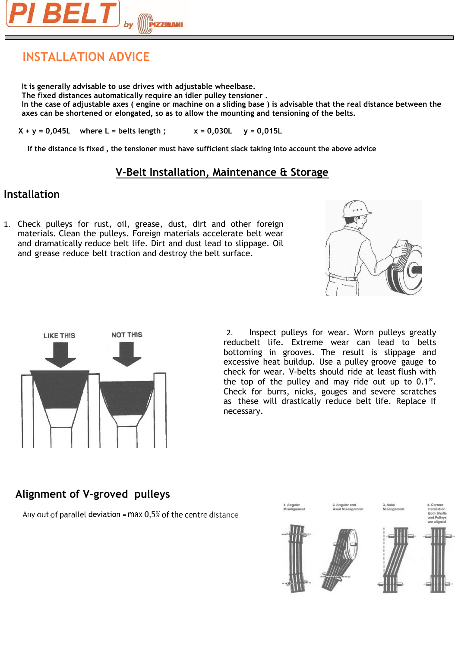

# **INSTALLATION ADVICE**

**It is generally advisable to use drives with adjustable wheelbase. The fixed distances automatically require an idler pulley tensioner . In the case of adjustable axes ( engine or machine on a sliding base ) is advisable that the real distance between the axes can be shortened or elongated, so as to allow the mounting and tensioning of the belts.**

 $X + y = 0,045L$  where L = belts length;  $X = 0,030L$   $y = 0,015L$ 

**If the distance is fixed , the tensioner must have sufficient slack taking into account the above advice**

# **V-Belt Installation, Maintenance & Storage**

# **Installation**

1. Check pulleys for rust, oil, grease, dust, dirt and other foreign materials. Clean the pulleys. Foreign materials accelerate belt wear and dramatically reduce belt life. Dirt and dust lead to slippage. Oil and grease reduce belt traction and destroy the belt surface.





2. Inspect pulleys for wear. Worn pulleys greatly reducbelt life. Extreme wear can lead to belts bottoming in grooves. The result is slippage and excessive heat buildup. Use a pulley groove gauge to check for wear. V-belts should ride at least flush with the top of the pulley and may ride out up to 0.1". Check for burrs, nicks, gouges and severe scratches as these will drastically reduce belt life. Replace if necessary.

# **Alignment of V-groved pulleys**

Any out of parallel deviation =  $max 0.5%$  of the centre distance

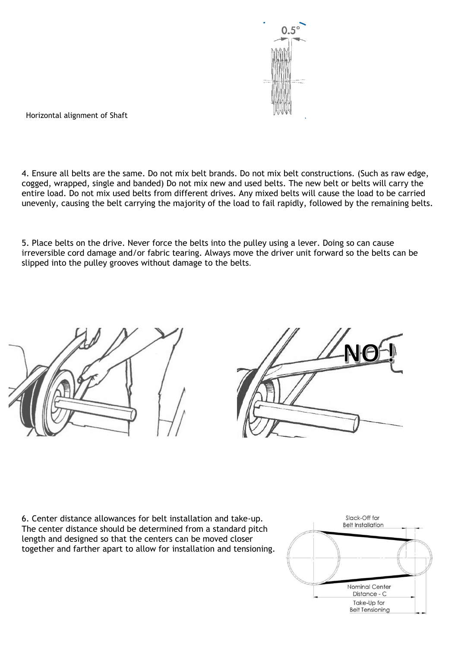

Horizontal alignment of Shaft

4. Ensure all belts are the same. Do not mix belt brands. Do not mix belt constructions. (Such as raw edge, cogged, wrapped, single and banded) Do not mix new and used belts. The new belt or belts will carry the entire load. Do not mix used belts from different drives. Any mixed belts will cause the load to be carried unevenly, causing the belt carrying the majority of the load to fail rapidly, followed by the remaining belts.

5. Place belts on the drive. Never force the belts into the pulley using a lever. Doing so can cause irreversible cord damage and/or fabric tearing. Always move the driver unit forward so the belts can be slipped into the pulley grooves without damage to the belts.





6. Center distance allowances for belt installation and take-up. The center distance should be determined from a standard pitch length and designed so that the centers can be moved closer together and farther apart to allow for installation and tensioning.

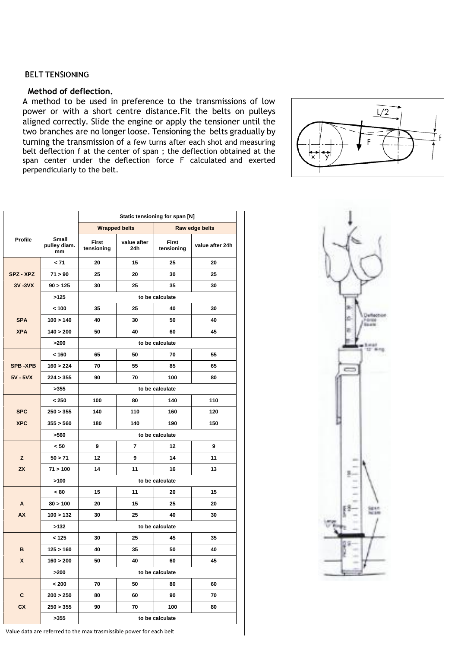## **BELT TENSIONING**

## **Method of deflection.**

A method to be used in preference to the transmissions of low power or with a short centre distance.Fit the belts on pulleys aligned correctly. Slide the engine or apply the tensioner until the two branches are no longer loose. Tensioning the belts gradually by turning the transmission of a few turns after each shot and measuring belt deflection f at the center of span ; the deflection obtained at the span center under the deflection force F calculated and exerted perpendicularly to the belt.



|                |                             | Static tensioning for span [N] |                    |                            |                 |  |
|----------------|-----------------------------|--------------------------------|--------------------|----------------------------|-----------------|--|
|                |                             | <b>Wrapped belts</b>           |                    | Raw edge belts             |                 |  |
| Profile        | Small<br>pulley diam.<br>mm | <b>First</b><br>tensioning     | value after<br>24h | <b>First</b><br>tensioning | value after 24h |  |
|                | $12 - 71$                   | 20                             | 15                 | 25                         | 20              |  |
| SPZ - XPZ      | 71 > 90                     | 25                             | 20                 | 30                         | 25              |  |
| 3V-3VX         | 90 > 125                    | 30                             | 25                 | 35                         | 30              |  |
|                | >125                        | to be calculate                |                    |                            |                 |  |
|                | < 100                       | 35                             | 25                 | 40                         | 30              |  |
| <b>SPA</b>     | 100 > 140                   | 40                             | 30                 | 50                         | 40              |  |
| <b>XPA</b>     | 140 > 200                   | 50                             | 40                 | 60                         | 45              |  |
|                | >200                        | to be calculate                |                    |                            |                 |  |
|                | < 160                       | 65                             | 50                 | 70                         | 55              |  |
| <b>SPB-XPB</b> | 160 > 224                   | 70                             | 55                 | 85                         | 65              |  |
| 5V - 5VX       | 224 > 355                   | 90                             | 70                 | 100                        | 80              |  |
|                | >355                        | to be calculate                |                    |                            |                 |  |
|                | < 250                       | 100                            | 80                 | 140                        | 110             |  |
| <b>SPC</b>     | 250 > 355                   | 140                            | 110                | 160                        | 120             |  |
| <b>XPC</b>     | 355 > 560                   | 180                            | 140                | 190                        | 150             |  |
|                | >560                        | to be calculate                |                    |                            |                 |  |
|                | < 50                        | 9                              | 7                  | 12                         | 9               |  |
| z              | 50 > 71                     | 12                             | 9                  | 14                         | 11              |  |
| <b>ZX</b>      | 71 > 100                    | 14                             | 11                 | 16                         | 13              |  |
|                | >100                        | to be calculate                |                    |                            |                 |  |
|                | < 80                        | 15                             | 11                 | 20                         | 15              |  |
| A              | 80 > 100                    | 20                             | 15                 | 25                         | 20              |  |
| <b>AX</b>      | 100 > 132                   | 30                             | 25                 | 40                         | 30              |  |
|                | >132                        | to be calculate                |                    |                            |                 |  |
|                | < 125                       | 30                             | 25                 | 45                         | 35              |  |
| B              | 125 > 160                   | 40                             | 35                 | 50                         | 40              |  |
| X              | 160 > 200                   | 50                             | 40                 | 60                         | 45              |  |
|                | >200                        |                                | to be calculate    |                            |                 |  |
|                | < 200                       | 70                             | 50                 | 80                         | 60              |  |
| C              | 200 > 250                   | 80                             | 60                 | 90                         | 70              |  |
| <b>CX</b>      | 250 > 355                   | 90                             | 70                 | 100                        | 80              |  |
|                | >355                        | to be calculate                |                    |                            |                 |  |



Value data are referred to the max trasmissible power for each belt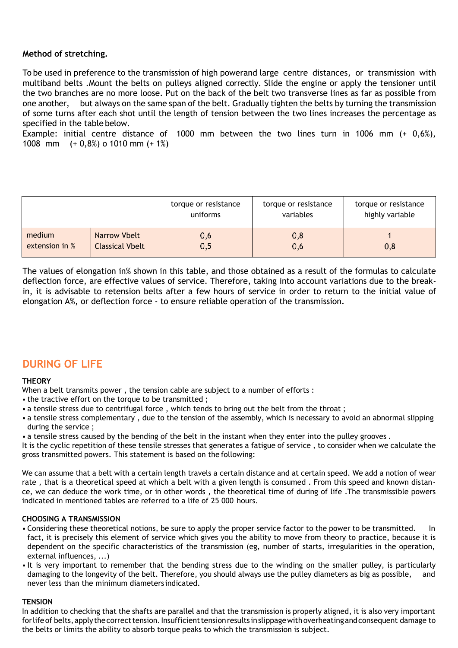# **Method of stretching.**

To be used in preference to the transmission of high powerand large centre distances, or transmission with multiband belts .Mount the belts on pulleys aligned correctly. Slide the engine or apply the tensioner until the two branches are no more loose. Put on the back of the belt two transverse lines as far as possible from one another, but always on the same span of the belt. Gradually tighten the belts by turning the transmission of some turns after each shot until the length of tension between the two lines increases the percentage as specified in the table below.

Example: initial centre distance of 1000 mm between the two lines turn in 1006 mm (+ 0,6%), 1008 mm (+ 0,8%) o 1010 mm (+ 1%)

|                |                        | torque or resistance<br>uniforms | torque or resistance<br>variables | torque or resistance<br>highly variable |
|----------------|------------------------|----------------------------------|-----------------------------------|-----------------------------------------|
| medium         | Narrow Vbelt           | 0,6                              | 0,8                               | 0,8                                     |
| extension in % | <b>Classical Vbelt</b> | 0,5                              | 0,6                               |                                         |

The values of elongation in% shown in this table, and those obtained as a result of the formulas to calculate deflection force, are effective values of service. Therefore, taking into account variations due to the breakin, it is advisable to retension belts after a few hours of service in order to return to the initial value of elongation A%, or deflection force - to ensure reliable operation of the transmission.

# **DURING OF LIFE**

## **THEORY**

When a belt transmits power , the tension cable are subject to a number of efforts :

- the tractive effort on the torque to be transmitted ;
- a tensile stress due to centrifugal force , which tends to bring out the belt from the throat ;
- a tensile stress complementary , due to the tension of the assembly, which is necessary to avoid an abnormal slipping during the service ;
- a tensile stress caused by the bending of the belt in the instant when they enter into the pulley grooves .

It is the cyclic repetition of these tensile stresses that generates a fatigue of service , to consider when we calculate the gross transmitted powers. This statement is based on the following:

We can assume that a belt with a certain length travels a certain distance and at certain speed. We add a notion of wear rate , that is a theoretical speed at which a belt with a given length is consumed . From this speed and known distance, we can deduce the work time, or in other words , the theoretical time of during of life .The transmissible powers indicated in mentioned tables are referred to a life of 25 000 hours.

## **CHOOSING A TRANSMISSION**

- Considering these theoretical notions, be sure to apply the proper service factor to the power to be transmitted. In fact, it is precisely this element of service which gives you the ability to move from theory to practice, because it is dependent on the specific characteristics of the transmission (eg, number of starts, irregularities in the operation, external influences, ...)
- It is very important to remember that the bending stress due to the winding on the smaller pulley, is particularly damaging to the longevity of the belt. Therefore, you should always use the pulley diameters as big as possible, and never less than the minimum diameters indicated.

## **TENSION**

In addition to checking that the shafts are parallel and that the transmission is properly aligned, it is also very important for life of belts, apply the correct tension. Insufficient tension results in slippage with overheating and consequent damage to the belts or limits the ability to absorb torque peaks to which the transmission is subject.